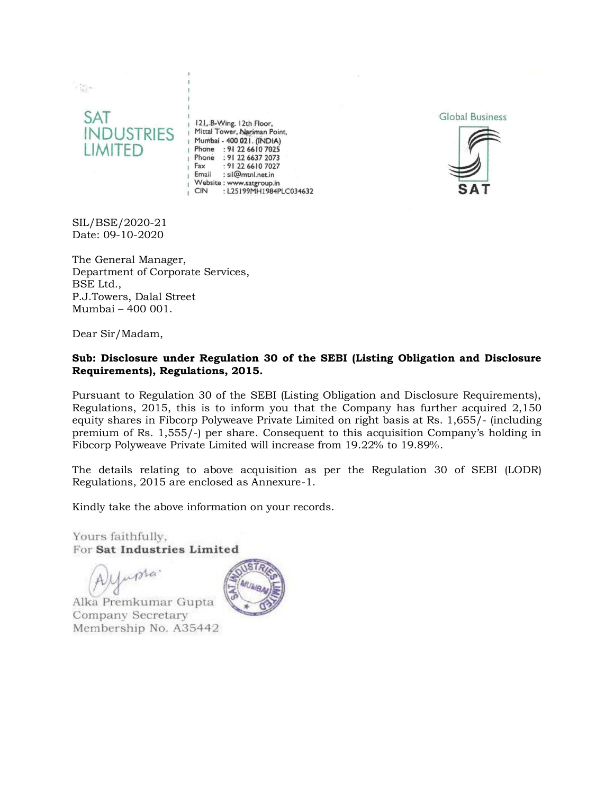

 $\label{eq:2} \begin{array}{c} \mathcal{L}_{\text{max}} \\ \mathcal{L}_{\text{max}} \end{array}$ 

121, B-Wing, 12th Floor, | 121, B-Wing, 12th Floor,<br>| Mittal Tower, Nariman Point, | Mumbai - 400 021. (INDIA) Phone : 91 22 6610 7025 Phone : 91 22 6637 2073 Fax : 91 22 6610 7027 Email : sil@mtnl.net.in Website : www.satgroup.in **CIN** : L25199MH1984PLC034632



SIL/BSE/2020-21 Date: 09-10-2020

The General Manager, Department of Corporate Services, BSE Ltd., P.J.Towers, Dalal Street Mumbai – 400 001.

Dear Sir/Madam,

## **Sub: Disclosure under Regulation 30 of the SEBI (Listing Obligation and Disclosure Requirements), Regulations, 2015.**

Pursuant to Regulation 30 of the SEBI (Listing Obligation and Disclosure Requirements), Regulations, 2015, this is to inform you that the Company has further acquired 2,150 equity shares in Fibcorp Polyweave Private Limited on right basis at Rs. 1,655/- (including premium of Rs. 1,555/-) per share. Consequent to this acquisition Company's holding in Fibcorp Polyweave Private Limited will increase from 19.22% to 19.89%.

The details relating to above acquisition as per the Regulation 30 of SEBI (LODR) Regulations, 2015 are enclosed as Annexure-1.

Kindly take the above information on your records.

Yours faithfully, For Sat Industries Limited

Mursta.

Alka Premkumar Gupta Company Secretary Membership No. A35442